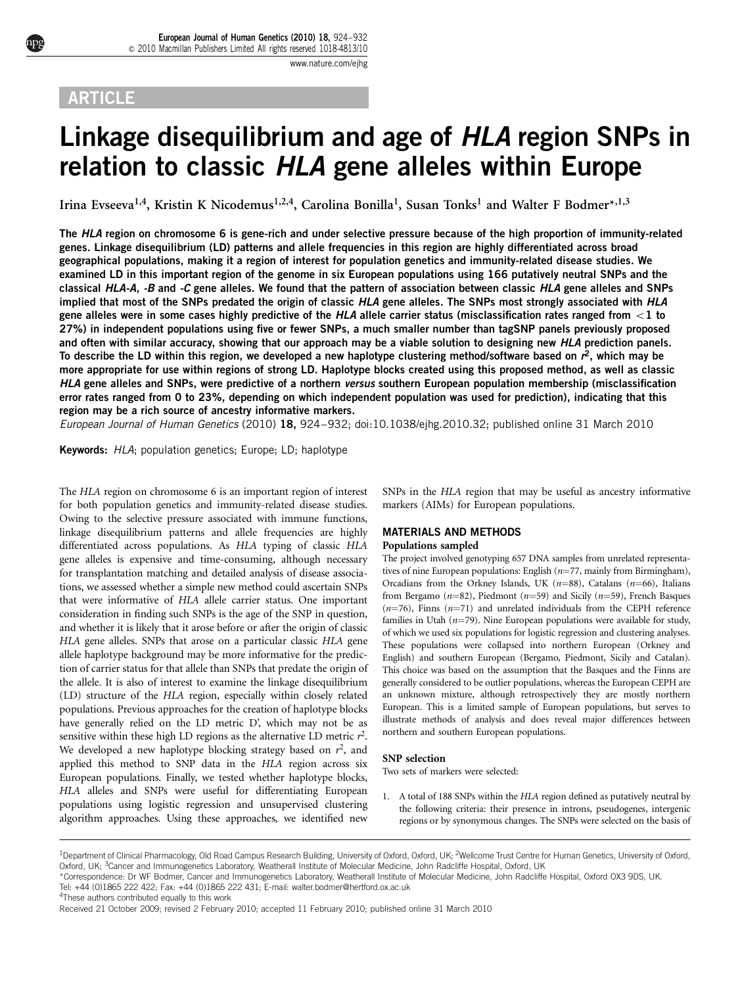# **ARTICLE**

# Linkage disequilibrium and age of HLA region SNPs in relation to classic HLA gene alleles within Europe

Irina Evseeva<sup>1,4</sup>, Kristin K Nicodemus<sup>1,2,4</sup>, Carolina Bonilla<sup>1</sup>, Susan Tonks<sup>1</sup> and Walter F Bodmer\*,<sup>1,3</sup>

The HLA region on chromosome 6 is gene-rich and under selective pressure because of the high proportion of immunity-related genes. Linkage disequilibrium (LD) patterns and allele frequencies in this region are highly differentiated across broad geographical populations, making it a region of interest for population genetics and immunity-related disease studies. We examined LD in this important region of the genome in six European populations using 166 putatively neutral SNPs and the classical HLA-A,  $-B$  and  $-C$  gene alleles. We found that the pattern of association between classic HLA gene alleles and SNPs implied that most of the SNPs predated the origin of classic HLA gene alleles. The SNPs most strongly associated with HLA gene alleles were in some cases highly predictive of the HLA allele carrier status (misclassification rates ranged from  $\lt 1$  to 27%) in independent populations using five or fewer SNPs, a much smaller number than tagSNP panels previously proposed and often with similar accuracy, showing that our approach may be a viable solution to designing new HLA prediction panels. To describe the LD within this region, we developed a new haplotype clustering method/software based on  $r^2$ , which may be more appropriate for use within regions of strong LD. Haplotype blocks created using this proposed method, as well as classic HLA gene alleles and SNPs, were predictive of a northern versus southern European population membership (misclassification error rates ranged from 0 to 23%, depending on which independent population was used for prediction), indicating that this region may be a rich source of ancestry informative markers.

European Journal of Human Genetics (2010) 18, 924–932; doi[:10.1038/ejhg.2010.32](http://dx.doi.org/10.1038/ejhg.2010.32); published online 31 March 2010

Keywords: HLA; population genetics; Europe; LD; haplotype

The HLA region on chromosome 6 is an important region of interest for both population genetics and immunity-related disease studies. Owing to the selective pressure associated with immune functions, linkage disequilibrium patterns and allele frequencies are highly differentiated across populations. As HLA typing of classic HLA gene alleles is expensive and time-consuming, although necessary for transplantation matching and detailed analysis of disease associations, we assessed whether a simple new method could ascertain SNPs that were informative of HLA allele carrier status. One important consideration in finding such SNPs is the age of the SNP in question, and whether it is likely that it arose before or after the origin of classic HLA gene alleles. SNPs that arose on a particular classic HLA gene allele haplotype background may be more informative for the prediction of carrier status for that allele than SNPs that predate the origin of the allele. It is also of interest to examine the linkage disequilibrium (LD) structure of the HLA region, especially within closely related populations. Previous approaches for the creation of haplotype blocks have generally relied on the LD metric D', which may not be as sensitive within these high LD regions as the alternative LD metric  $r^2$ . We developed a new haplotype blocking strategy based on  $r^2$ , and applied this method to SNP data in the HLA region across six European populations. Finally, we tested whether haplotype blocks, HLA alleles and SNPs were useful for differentiating European populations using logistic regression and unsupervised clustering algorithm approaches. Using these approaches, we identified new

SNPs in the HLA region that may be useful as ancestry informative markers (AIMs) for European populations.

# MATERIALS AND METHODS Populations sampled

The project involved genotyping 657 DNA samples from unrelated representatives of nine European populations: English  $(n=77, \text{mainly from Birmingham}),$ Orcadians from the Orkney Islands, UK ( $n=88$ ), Catalans ( $n=66$ ), Italians from Bergamo ( $n=82$ ), Piedmont ( $n=59$ ) and Sicily ( $n=59$ ), French Basques  $(n=76)$ , Finns  $(n=71)$  and unrelated individuals from the CEPH reference families in Utah  $(n=79)$ . Nine European populations were available for study, of which we used six populations for logistic regression and clustering analyses. These populations were collapsed into northern European (Orkney and English) and southern European (Bergamo, Piedmont, Sicily and Catalan). This choice was based on the assumption that the Basques and the Finns are generally considered to be outlier populations, whereas the European CEPH are an unknown mixture, although retrospectively they are mostly northern European. This is a limited sample of European populations, but serves to illustrate methods of analysis and does reveal major differences between northern and southern European populations.

# SNP selection

Two sets of markers were selected:

1. A total of 188 SNPs within the HLA region defined as putatively neutral by the following criteria: their presence in introns, pseudogenes, intergenic regions or by synonymous changes. The SNPs were selected on the basis of

4These authors contributed equally to this work

<sup>&</sup>lt;sup>1</sup>Department of Clinical Pharmacology, Old Road Campus Research Building, University of Oxford, Oxford, UK; <sup>2</sup>Wellcome Trust Centre for Human Genetics, University of Oxford, Oxford, UK; 3Cancer and Immunogenetics Laboratory, Weatherall Institute of Molecular Medicine, John Radcliffe Hospital, Oxford, UK

<sup>\*</sup>Correspondence: Dr WF Bodmer, Cancer and Immunogenetics Laboratory, Weatherall Institute of Molecular Medicine, John Radcliffe Hospital, Oxford OX3 9DS, UK. Tel: +44 (0)1865 222 422; Fax: +44 (0)1865 222 431; E-mail: [walter.bodmer@hertford.ox.ac.uk](mailto:walter.bodmer@hertford.ox.ac.uk)

Received 21 October 2009; revised 2 February 2010; accepted 11 February 2010; published online 31 March 2010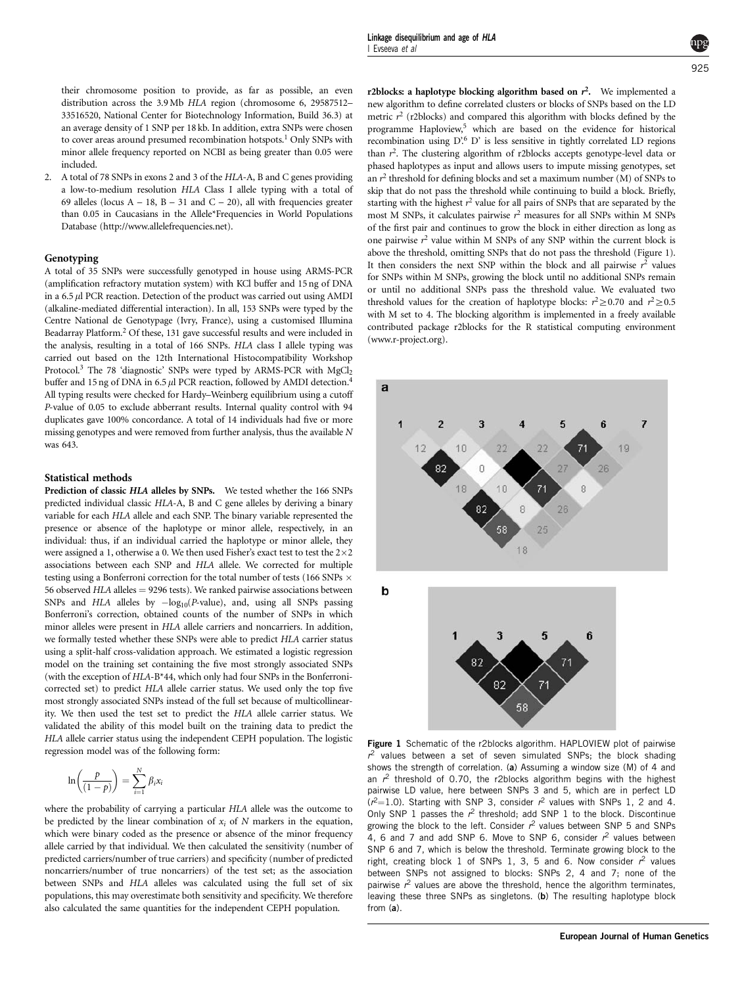their chromosome position to provide, as far as possible, an even distribution across the 3.9 Mb HLA region (chromosome 6, 29587512– 33516520, National Center for Biotechnology Information, Build 36.3) at an average density of 1 SNP per 18 kb. In addition, extra SNPs were chosen to cover areas around presumed recombination hotspots.<sup>[1](#page-7-0)</sup> Only SNPs with minor allele frequency reported on NCBI as being greater than 0.05 were included.

2. A total of 78 SNPs in exons 2 and 3 of the HLA-A, B and C genes providing a low-to-medium resolution HLA Class I allele typing with a total of 69 alleles (locus  $A - 18$ ,  $B - 31$  and  $C - 20$ ), all with frequencies greater than 0.05 in Caucasians in the Allele\*Frequencies in World Populations Database [\(http://www.allelefrequencies.net\)](http://www.allelefrequencies.net).

# Genotyping

A total of 35 SNPs were successfully genotyped in house using ARMS-PCR (amplification refractory mutation system) with KCl buffer and 15 ng of DNA in a  $6.5 \mu$ l PCR reaction. Detection of the product was carried out using AMDI (alkaline-mediated differential interaction). In all, 153 SNPs were typed by the Centre National de Genotypage (Ivry, France), using a customised Illumina Beadarray Platform.[2](#page-7-0) Of these, 131 gave successful results and were included in the analysis, resulting in a total of 166 SNPs. HLA class I allele typing was carried out based on the 12th International Histocompatibility Workshop Protocol.<sup>3</sup> The 78 'diagnostic' SNPs were typed by ARMS-PCR with  $MgCl<sub>2</sub>$ buffer and 15 ng of DNA in 6.5  $\mu$ l PCR reaction, followed by AMDI detection.<sup>4</sup> All typing results were checked for Hardy–Weinberg equilibrium using a cutoff P-value of 0.05 to exclude abberrant results. Internal quality control with 94 duplicates gave 100% concordance. A total of 14 individuals had five or more missing genotypes and were removed from further analysis, thus the available N was 643.

# Statistical methods

Prediction of classic HLA alleles by SNPs. We tested whether the 166 SNPs predicted individual classic HLA-A, B and C gene alleles by deriving a binary variable for each HLA allele and each SNP. The binary variable represented the presence or absence of the haplotype or minor allele, respectively, in an individual: thus, if an individual carried the haplotype or minor allele, they were assigned a 1, otherwise a 0. We then used Fisher's exact test to test the  $2{\times}2$ associations between each SNP and HLA allele. We corrected for multiple testing using a Bonferroni correction for the total number of tests (166 SNPs  $\times$ 56 observed  $HLA$  alleles  $= 9296$  tests). We ranked pairwise associations between SNPs and HLA alleles by  $-\log_{10}(P\text{-value})$ , and, using all SNPs passing Bonferroni's correction, obtained counts of the number of SNPs in which minor alleles were present in HLA allele carriers and noncarriers. In addition, we formally tested whether these SNPs were able to predict HLA carrier status using a split-half cross-validation approach. We estimated a logistic regression model on the training set containing the five most strongly associated SNPs (with the exception of HLA-B\*44, which only had four SNPs in the Bonferronicorrected set) to predict HLA allele carrier status. We used only the top five most strongly associated SNPs instead of the full set because of multicollinearity. We then used the test set to predict the HLA allele carrier status. We validated the ability of this model built on the training data to predict the HLA allele carrier status using the independent CEPH population. The logistic regression model was of the following form:

$$
\ln\left(\frac{p}{(1-p)}\right) = \sum_{i=1}^{N} \beta_i x_i
$$

where the probability of carrying a particular HLA allele was the outcome to be predicted by the linear combination of  $x_i$  of N markers in the equation, which were binary coded as the presence or absence of the minor frequency allele carried by that individual. We then calculated the sensitivity (number of predicted carriers/number of true carriers) and specificity (number of predicted noncarriers/number of true noncarriers) of the test set; as the association between SNPs and HLA alleles was calculated using the full set of six populations, this may overestimate both sensitivity and specificity. We therefore also calculated the same quantities for the independent CEPH population.

r2blocks: a haplotype blocking algorithm based on  $r^2$ . We implemented a new algorithm to define correlated clusters or blocks of SNPs based on the LD metric  $r^2$  (r2blocks) and compared this algorithm with blocks defined by the programme Haploview,<sup>[5](#page-7-0)</sup> which are based on the evidence for historical recombination using D'[.6](#page-7-0) D' is less sensitive in tightly correlated LD regions than  $r^2$ . The clustering algorithm of r2blocks accepts genotype-level data or phased haplotypes as input and allows users to impute missing genotypes, set an  $r^2$  threshold for defining blocks and set a maximum number (M) of SNPs to skip that do not pass the threshold while continuing to build a block. Briefly, starting with the highest  $r^2$  value for all pairs of SNPs that are separated by the most M SNPs, it calculates pairwise  $r^2$  measures for all SNPs within M SNPs of the first pair and continues to grow the block in either direction as long as one pairwise  $r^2$  value within M SNPs of any SNP within the current block is above the threshold, omitting SNPs that do not pass the threshold (Figure 1). It then considers the next SNP within the block and all pairwise  $r^2$  values for SNPs within M SNPs, growing the block until no additional SNPs remain or until no additional SNPs pass the threshold value. We evaluated two threshold values for the creation of haplotype blocks:  $r^2 \ge 0.70$  and  $r^2 \ge 0.5$ with M set to 4. The blocking algorithm is implemented in a freely available contributed package r2blocks for the R statistical computing environment ([www.r-project.org\)](www.r-project.org).



Figure 1 Schematic of the r2blocks algorithm. HAPLOVIEW plot of pairwise  $r<sup>2</sup>$  values between a set of seven simulated SNPs; the block shading shows the strength of correlation. (a) Assuming a window size (M) of 4 and an  $r^2$  threshold of 0.70, the r2blocks algorithm begins with the highest pairwise LD value, here between SNPs 3 and 5, which are in perfect LD  $(r^2=1.0)$ . Starting with SNP 3, consider  $r^2$  values with SNPs 1, 2 and 4. Only SNP 1 passes the  $r^2$  threshold; add SNP 1 to the block. Discontinue growing the block to the left. Consider  $r^2$  values between SNP 5 and SNPs 4, 6 and 7 and add SNP 6. Move to SNP 6, consider  $r^2$  values between SNP 6 and 7, which is below the threshold. Terminate growing block to the right, creating block 1 of SNPs 1, 3, 5 and 6. Now consider  $r^2$  values between SNPs not assigned to blocks: SNPs 2, 4 and 7; none of the pairwise  $r^2$  values are above the threshold, hence the algorithm terminates, leaving these three SNPs as singletons. (b) The resulting haplotype block from (a).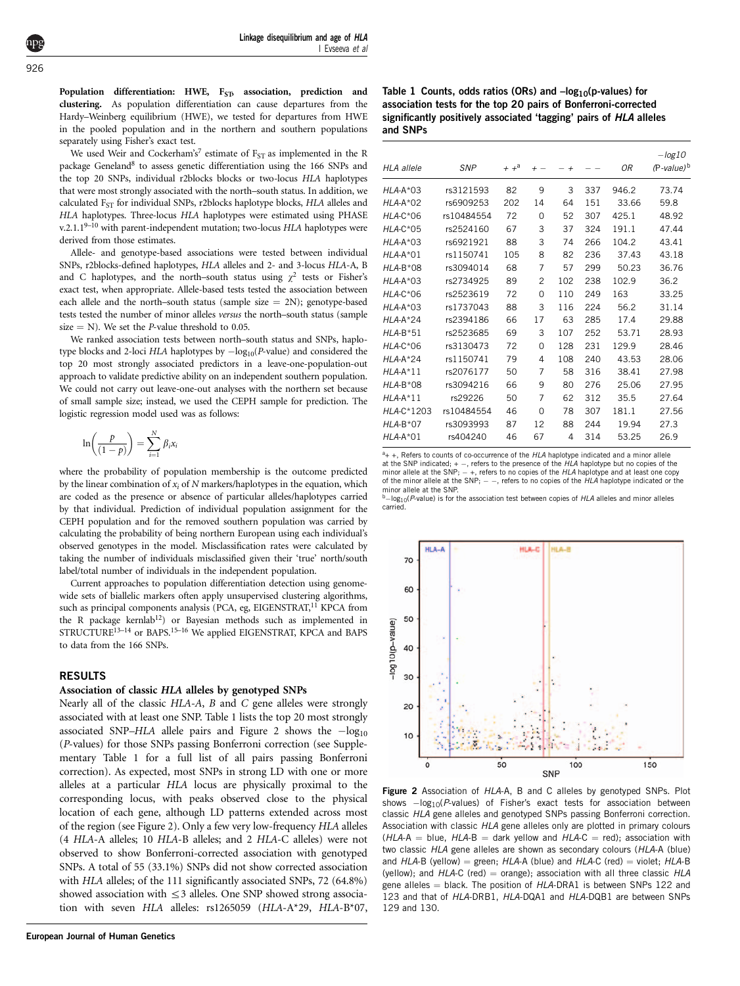<span id="page-2-0"></span>Population differentiation: HWE, F<sub>ST</sub>, association, prediction and clustering. As population differentiation can cause departures from the Hardy–Weinberg equilibrium (HWE), we tested for departures from HWE in the pooled population and in the northern and southern populations separately using Fisher's exact test.

We used Weir and Cockerham's<sup>7</sup> estimate of  $F_{ST}$  as implemented in the R package Geneland<sup>[8](#page-7-0)</sup> to assess genetic differentiation using the 166 SNPs and the top 20 SNPs, individual r2blocks blocks or two-locus HLA haplotypes that were most strongly associated with the north–south status. In addition, we calculated F<sub>ST</sub> for individual SNPs, r2blocks haplotype blocks, HLA alleles and HLA haplotypes. Three-locus HLA haplotypes were estimated using PHASE v.2.1.19-10 with parent-independent mutation; two-locus HLA haplotypes were derived from those estimates.

Allele- and genotype-based associations were tested between individual SNPs, r2blocks-defined haplotypes, HLA alleles and 2- and 3-locus HLA-A, B and C haplotypes, and the north–south status using  $\chi^2$  tests or Fisher's exact test, when appropriate. Allele-based tests tested the association between each allele and the north–south status (sample size  $= 2N$ ); genotype-based tests tested the number of minor alleles versus the north–south status (sample size  $=$  N). We set the *P*-value threshold to 0.05.

We ranked association tests between north–south status and SNPs, haplotype blocks and 2-loci HLA haplotypes by  $-\log_{10}(P\text{-value})$  and considered the top 20 most strongly associated predictors in a leave-one-population-out approach to validate predictive ability on an independent southern population. We could not carry out leave-one-out analyses with the northern set because of small sample size; instead, we used the CEPH sample for prediction. The logistic regression model used was as follows:

$$
\ln\left(\frac{p}{(1-p)}\right) = \sum_{i=1}^{N} \beta_i x_i
$$

where the probability of population membership is the outcome predicted by the linear combination of  $x_i$  of N markers/haplotypes in the equation, which are coded as the presence or absence of particular alleles/haplotypes carried by that individual. Prediction of individual population assignment for the CEPH population and for the removed southern population was carried by calculating the probability of being northern European using each individual's observed genotypes in the model. Misclassification rates were calculated by taking the number of individuals misclassified given their 'true' north/south label/total number of individuals in the independent population.

Current approaches to population differentiation detection using genomewide sets of biallelic markers often apply unsupervised clustering algorithms, such as principal components analysis (PCA, eg, EIGENSTRAT,<sup>11</sup> KPCA from the R package kernlab<sup>[12](#page-8-0)</sup>) or Bayesian methods such as implemented in STRUCTURE<sup>13-14</sup> or BAPS.<sup>15-16</sup> We applied EIGENSTRAT, KPCA and BAPS to data from the 166 SNPs.

#### RESULTS

#### Association of classic HLA alleles by genotyped SNPs

Nearly all of the classic HLA-A, B and C gene alleles were strongly associated with at least one SNP. Table 1 lists the top 20 most strongly associated SNP–HLA allele pairs and Figure 2 shows the  $-\log_{10}$ (P-values) for those SNPs passing Bonferroni correction (see Supplementary Table 1 for a full list of all pairs passing Bonferroni correction). As expected, most SNPs in strong LD with one or more alleles at a particular HLA locus are physically proximal to the corresponding locus, with peaks observed close to the physical location of each gene, although LD patterns extended across most of the region (see Figure 2). Only a few very low-frequency HLA alleles (4 HLA-A alleles; 10 HLA-B alleles; and 2 HLA-C alleles) were not observed to show Bonferroni-corrected association with genotyped SNPs. A total of 55 (33.1%) SNPs did not show corrected association with HLA alleles; of the 111 significantly associated SNPs, 72 (64.8%) showed association with  $\leq$  3 alleles. One SNP showed strong association with seven HLA alleles: rs1265059 (HLA-A\*29, HLA-B\*07,

Table 1 Counts, odds ratios (ORs) and  $-log_{10}(p\nu$ alues) for association tests for the top 20 pairs of Bonferroni-corrected significantly positively associated 'tagging' pairs of HLA alleles and SNPs

| HI A allele   | <b>SNP</b> | $+$ $+$ <sup>a</sup> | $+ -$          | $^{+}$ |     | 0R    | $-log10$<br>(P-value) <sup>b</sup> |
|---------------|------------|----------------------|----------------|--------|-----|-------|------------------------------------|
| $HLA-A*03$    | rs3121593  | 82                   | 9              | 3      | 337 | 946.2 | 73.74                              |
| $HLA-A*02$    | rs6909253  | 202                  | 14             | 64     | 151 | 33.66 | 59.8                               |
| $HLA-C*06$    | rs10484554 | 72                   | 0              | 52     | 307 | 425.1 | 48.92                              |
| $HLA-C*05$    | rs2524160  | 67                   | 3              | 37     | 324 | 191.1 | 47.44                              |
| $HIA-A*03$    | rs6921921  | 88                   | 3              | 74     | 266 | 104.2 | 43.41                              |
| $HI A-A*01$   | rs1150741  | 105                  | 8              | 82     | 236 | 37.43 | 43.18                              |
| $HLA-B*08$    | rs3094014  | 68                   | $\overline{7}$ | 57     | 299 | 50.23 | 36.76                              |
| $HLA-A*03$    | rs2734925  | 89                   | 2              | 102    | 238 | 102.9 | 36.2                               |
| $HLA-C*06$    | rs2523619  | 72                   | 0              | 110    | 249 | 163   | 33.25                              |
| $HLA-A*03$    | rs1737043  | 88                   | 3              | 116    | 224 | 56.2  | 31.14                              |
| $HI A-A*24$   | rs2394186  | 66                   | 17             | 63     | 285 | 17.4  | 29.88                              |
| $HLA-B*51$    | rs2523685  | 69                   | 3              | 107    | 252 | 53.71 | 28.93                              |
| $HLA-C*06$    | rs3130473  | 72                   | 0              | 128    | 231 | 129.9 | 28.46                              |
| $HLA-A*24$    | rs1150741  | 79                   | 4              | 108    | 240 | 43.53 | 28.06                              |
| $HLA-A*11$    | rs2076177  | 50                   | 7              | 58     | 316 | 38.41 | 27.98                              |
| $HIA-R*08$    | rs3094216  | 66                   | 9              | 80     | 276 | 25.06 | 27.95                              |
| $HLA-A*11$    | rs29226    | 50                   | 7              | 62     | 312 | 35.5  | 27.64                              |
| $HI A-C*1203$ | rs10484554 | 46                   | O              | 78     | 307 | 181.1 | 27.56                              |
| $HLA-B*07$    | rs3093993  | 87                   | 12             | 88     | 244 | 19.94 | 27.3                               |
| $HLA-A*01$    | rs404240   | 46                   | 67             | 4      | 314 | 53.25 | 26.9                               |

 $a_{+}$  +, Refers to counts of co-occurrence of the HLA haplotype indicated and a minor allele at the SNP indicated;  $+ -$ , refers to the presence of the HLA haplotype but no copies of the minor allele at the SNP;  $-$  +, refers to no copies of the HLA haplotype and at least one copy of the minor allele at the SNP;  $-$  -, refers to no copies of the HLA haplotype indicated or the

minor allele at the SNP.<br><sup>b\_</sup>log<sub>10</sub>(*P*-value) is for the association test between copies of *HLA* alleles and minor alleles carried.



Figure 2 Association of HLA-A, B and C alleles by genotyped SNPs. Plot shows  $-\log_{10}(P\text{-values})$  of Fisher's exact tests for association between classic HLA gene alleles and genotyped SNPs passing Bonferroni correction. Association with classic HLA gene alleles only are plotted in primary colours  $(HLA-A = blue, HLA-B = dark$  yellow and  $HLA-C = red$ ; association with two classic HLA gene alleles are shown as secondary colours (HLA-A (blue) and  $HLA-B$  (yellow) = green;  $HLA-A$  (blue) and  $HLA-C$  (red) = violet;  $HLA-B$ (yellow); and  $HLA-C$  (red) = orange); association with all three classic  $HLA$ gene alleles  $=$  black. The position of  $HLA$ -DRA1 is between SNPs 122 and 123 and that of HLA-DRB1, HLA-DQA1 and HLA-DQB1 are between SNPs 129 and 130.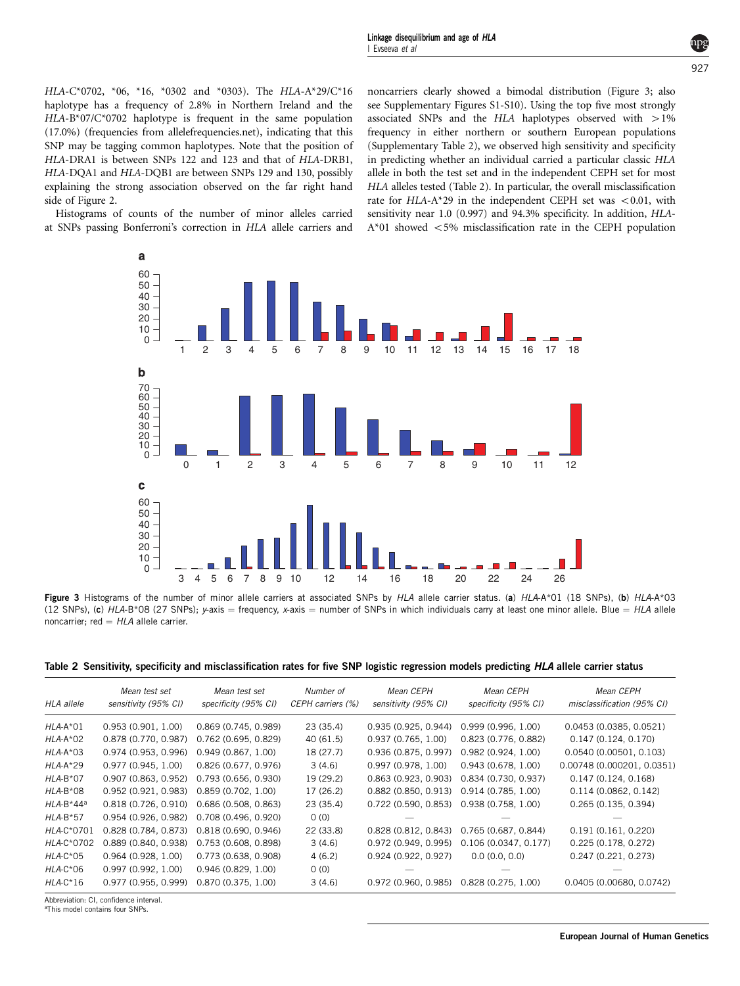Linkage disequilibrium and age of HLA I Evseeva et al

927

HLA-C\*0702, \*06, \*16, \*0302 and \*0303). The HLA-A\*29/C\*16 haplotype has a frequency of 2.8% in Northern Ireland and the HLA-B\*07/C\*0702 haplotype is frequent in the same population (17.0%) (frequencies from allelefrequencies.net), indicating that this SNP may be tagging common haplotypes. Note that the position of HLA-DRA1 is between SNPs 122 and 123 and that of HLA-DRB1, HLA-DQA1 and HLA-DQB1 are between SNPs 129 and 130, possibly explaining the strong association observed on the far right hand side of [Figure 2](#page-2-0).

Histograms of counts of the number of minor alleles carried at SNPs passing Bonferroni's correction in HLA allele carriers and noncarriers clearly showed a bimodal distribution (Figure 3; also see Supplementary Figures S1-S10). Using the top five most strongly associated SNPs and the HLA haplotypes observed with  $>1\%$ frequency in either northern or southern European populations (Supplementary Table 2), we observed high sensitivity and specificity in predicting whether an individual carried a particular classic HLA allele in both the test set and in the independent CEPH set for most HLA alleles tested (Table 2). In particular, the overall misclassification rate for  $HLA-A*29$  in the independent CEPH set was  $< 0.01$ , with sensitivity near 1.0 (0.997) and 94.3% specificity. In addition, HLA- $A*01$  showed  $<5\%$  misclassification rate in the CEPH population



Figure 3 Histograms of the number of minor allele carriers at associated SNPs by HLA allele carrier status. (a) HLA-A\*01 (18 SNPs), (b) HLA-A\*03 (12 SNPs), (c) HLA-B\*08 (27 SNPs); y-axis = frequency, x-axis = number of SNPs in which individuals carry at least one minor allele. Blue = HLA allele noncarrier; red  $= HLA$  allele carrier.

|  | Table 2 Sensitivity, specificity and misclassification rates for five SNP logistic regression models predicting HLA allele carrier status |  |  |  |
|--|-------------------------------------------------------------------------------------------------------------------------------------------|--|--|--|
|  |                                                                                                                                           |  |  |  |

| <b>HLA</b> allele | Mean test set<br>sensitivity (95% CI) | Mean test set<br>specificity (95% CI) | Number of<br>CEPH carriers (%) | Mean CEPH<br>sensitivity (95% CI) | Mean CEPH<br>specificity (95% CI) | Mean CEPH<br>misclassification (95% CI) |
|-------------------|---------------------------------------|---------------------------------------|--------------------------------|-----------------------------------|-----------------------------------|-----------------------------------------|
| $HLA-A*01$        | 0.953(0.901, 1.00)                    | 0.869(0.745, 0.989)                   | 23 (35.4)                      | 0.935 (0.925, 0.944)              | 0.999(0.996, 1.00)                | 0.0453(0.0385, 0.0521)                  |
| $HLA-A*02$        | 0.878 (0.770, 0.987)                  | $0.762$ (0.695, 0.829)                | 40(61.5)                       | 0.937(0.765, 1.00)                | 0.823 (0.776, 0.882)              | 0.147(0.124, 0.170)                     |
| $HLA-A*03$        | 0.974(0.953, 0.996)                   | 0.949(0.867, 1.00)                    | 18 (27.7)                      | 0.936 (0.875, 0.997)              | 0.982(0.924, 1.00)                | 0.0540(0.00501, 0.103)                  |
| $HLA-A*29$        | 0.977(0.945, 1.00)                    | 0.826(0.677, 0.976)                   | 3(4.6)                         | 0.997(0.978, 1.00)                | 0.943(0.678, 1.00)                | 0.00748 (0.000201, 0.0351)              |
| $HLA-B*07$        | $0.907$ (0.863, 0.952)                | 0.793(0.656, 0.930)                   | 19 (29.2)                      | 0.863(0.923, 0.903)               | 0.834(0.730, 0.937)               | 0.147(0.124, 0.168)                     |
| $HLA-B*08$        | 0.952(0.921, 0.983)                   | 0.859(0.702, 1.00)                    | 17 (26.2)                      | $0.882$ (0.850, 0.913)            | 0.914(0.785, 1.00)                | 0.114(0.0862, 0.142)                    |
| $HLA-B*44^a$      | 0.818(0.726, 0.910)                   | 0.686(0.508, 0.863)                   | 23 (35.4)                      | $0.722$ (0.590, 0.853)            | 0.938(0.758, 1.00)                | 0.265(0.135, 0.394)                     |
| $HLA-B*57$        | 0.954(0.926, 0.982)                   | 0.708(0.496, 0.920)                   | 0(0)                           |                                   |                                   |                                         |
| HLA-C*0701        | 0.828(0.784, 0.873)                   | 0.818(0.690, 0.946)                   | 22 (33.8)                      | 0.828(0.812, 0.843)               | 0.765(0.687, 0.844)               | 0.191(0.161, 0.220)                     |
| HLA-C*0702        | 0.889(0.840, 0.938)                   | 0.753(0.608, 0.898)                   | 3(4.6)                         | 0.972 (0.949, 0.995)              | 0.106(0.0347, 0.177)              | 0.225(0.178, 0.272)                     |
| $HLA-C*05$        | 0.964(0.928, 1.00)                    | 0.773(0.638, 0.908)                   | 4(6.2)                         | 0.924(0.922, 0.927)               | 0.0(0.0, 0.0)                     | 0.247(0.221, 0.273)                     |
| $HLA-C*06$        | 0.997(0.992, 1.00)                    | 0.946(0.829, 1.00)                    | 0(0)                           |                                   |                                   |                                         |
| $HLA-C*16$        | 0.977(0.955, 0.999)                   | 0.870(0.375, 1.00)                    | 3(4.6)                         | 0.972(0.960, 0.985)               | 0.828(0.275, 1.00)                | 0.0405 (0.00680, 0.0742)                |

Abbreviation: CI, confidence interval.

aThis model contains four SNPs.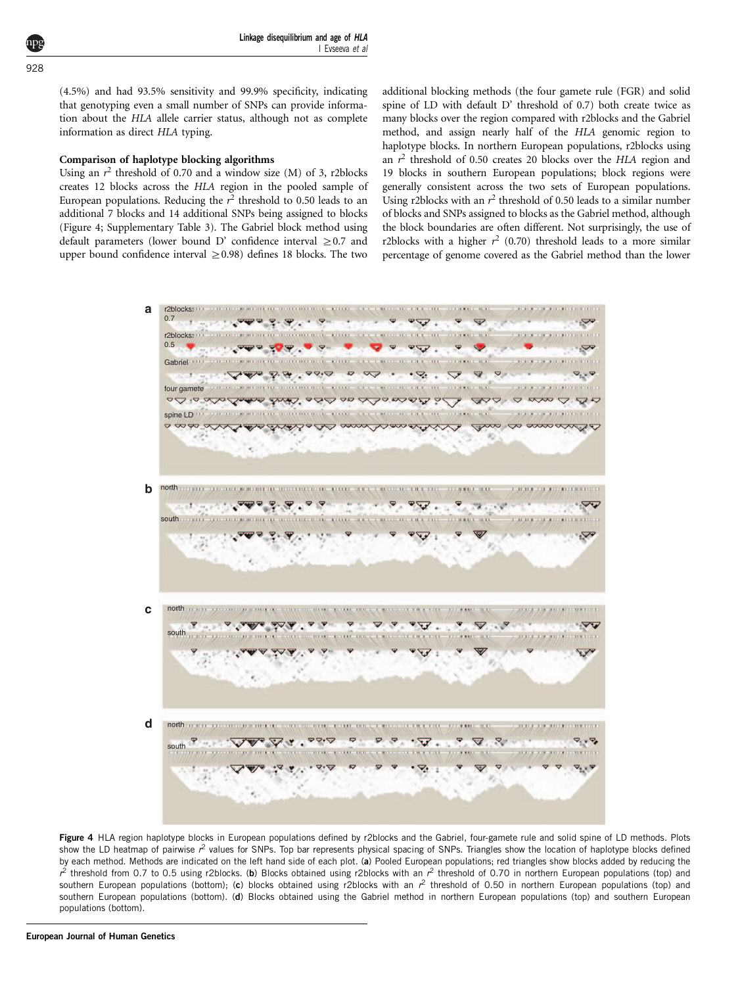Linkage disequilibrium and age of HLA I Evseeva et al

928

(4.5%) and had 93.5% sensitivity and 99.9% specificity, indicating that genotyping even a small number of SNPs can provide information about the HLA allele carrier status, although not as complete information as direct HLA typing.

#### Comparison of haplotype blocking algorithms

Using an  $r^2$  threshold of 0.70 and a window size (M) of 3, r2blocks creates 12 blocks across the HLA region in the pooled sample of European populations. Reducing the  $r^2$  threshold to 0.50 leads to an additional 7 blocks and 14 additional SNPs being assigned to blocks (Figure 4; Supplementary Table 3). The Gabriel block method using default parameters (lower bound D' confidence interval  $\geq$  0.7 and upper bound confidence interval  $\geq$  0.98) defines 18 blocks. The two

additional blocking methods (the four gamete rule (FGR) and solid spine of LD with default D' threshold of 0.7) both create twice as many blocks over the region compared with r2blocks and the Gabriel method, and assign nearly half of the HLA genomic region to haplotype blocks. In northern European populations, r2blocks using an  $r^2$  threshold of 0.50 creates 20 blocks over the HLA region and 19 blocks in southern European populations; block regions were generally consistent across the two sets of European populations. Using r2blocks with an  $r^2$  threshold of 0.50 leads to a similar number of blocks and SNPs assigned to blocks as the Gabriel method, although the block boundaries are often different. Not surprisingly, the use of r2blocks with a higher  $r^2$  (0.70) threshold leads to a more similar percentage of genome covered as the Gabriel method than the lower



Figure 4 HLA region haplotype blocks in European populations defined by r2blocks and the Gabriel, four-gamete rule and solid spine of LD methods. Plots show the LD heatmap of pairwise r<sup>2</sup> values for SNPs. Top bar represents physical spacing of SNPs. Triangles show the location of haplotype blocks defined by each method. Methods are indicated on the left hand side of each plot. (a) Pooled European populations; red triangles show blocks added by reducing the  $r^2$  threshold from 0.7 to 0.5 using r2blocks. (b) Blocks obtained using r2blocks with an  $r^2$  threshold of 0.70 in northern European populations (top) and southern European populations (bottom); (c) blocks obtained using r2blocks with an  $r^2$  threshold of 0.50 in northern European populations (top) and southern European populations (bottom). (d) Blocks obtained using the Gabriel method in northern European populations (top) and southern European populations (bottom).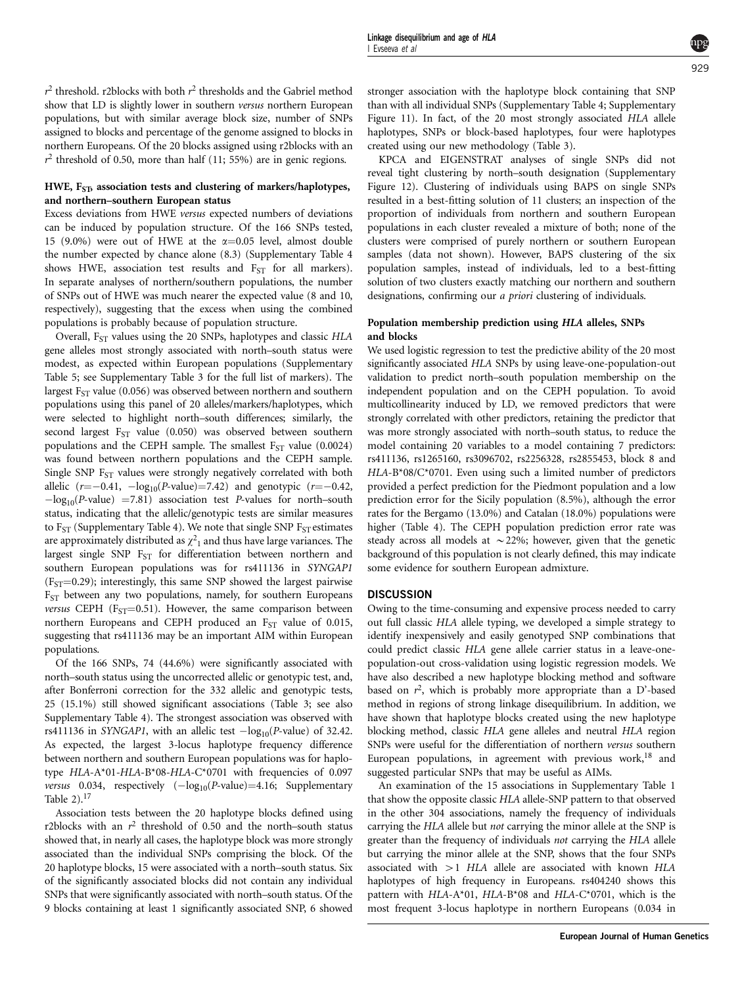$r^2$  threshold. r2blocks with both  $r^2$  thresholds and the Gabriel method show that LD is slightly lower in southern versus northern European populations, but with similar average block size, number of SNPs assigned to blocks and percentage of the genome assigned to blocks in northern Europeans. Of the 20 blocks assigned using r2blocks with an  $r^2$  threshold of 0.50, more than half (11; 55%) are in genic regions.

# HWE,  $F_{ST}$  association tests and clustering of markers/haplotypes, and northern–southern European status

Excess deviations from HWE versus expected numbers of deviations can be induced by population structure. Of the 166 SNPs tested, 15 (9.0%) were out of HWE at the  $\alpha$ =0.05 level, almost double the number expected by chance alone (8.3) (Supplementary Table 4 shows HWE, association test results and  $F_{ST}$  for all markers). In separate analyses of northern/southern populations, the number of SNPs out of HWE was much nearer the expected value (8 and 10, respectively), suggesting that the excess when using the combined populations is probably because of population structure.

Overall, F<sub>ST</sub> values using the 20 SNPs, haplotypes and classic HLA gene alleles most strongly associated with north–south status were modest, as expected within European populations (Supplementary Table 5; see Supplementary Table 3 for the full list of markers). The largest  $F_{ST}$  value (0.056) was observed between northern and southern populations using this panel of 20 alleles/markers/haplotypes, which were selected to highlight north–south differences; similarly, the second largest  $F_{ST}$  value (0.050) was observed between southern populations and the CEPH sample. The smallest  $F_{ST}$  value (0.0024) was found between northern populations and the CEPH sample. Single SNP  $F_{ST}$  values were strongly negatively correlated with both allelic  $(r=-0.41, -\log_{10}(P\text{-value})=7.42)$  and genotypic  $(r=-0.42,$  $-\log_{10}(P\text{-value})$  =7.81) association test P-values for north–south status, indicating that the allelic/genotypic tests are similar measures to  $F_{ST}$  (Supplementary Table 4). We note that single SNP  $F_{ST}$  estimates are approximately distributed as  $\chi^2{}_1$  and thus have large variances. The largest single SNP  $F_{ST}$  for differentiation between northern and southern European populations was for rs411136 in SYNGAP1  $(F<sub>ST</sub>=0.29)$ ; interestingly, this same SNP showed the largest pairwise  $F<sub>ST</sub>$  between any two populations, namely, for southern Europeans versus CEPH ( $F_{ST}$ =0.51). However, the same comparison between northern Europeans and CEPH produced an F<sub>ST</sub> value of 0.015, suggesting that rs411136 may be an important AIM within European populations.

Of the 166 SNPs, 74 (44.6%) were significantly associated with north–south status using the uncorrected allelic or genotypic test, and, after Bonferroni correction for the 332 allelic and genotypic tests, 25 (15.1%) still showed significant associations [\(Table 3;](#page-6-0) see also Supplementary Table 4). The strongest association was observed with rs411136 in SYNGAP1, with an allelic test  $-\log_{10}(P\text{-value})$  of 32.42. As expected, the largest 3-locus haplotype frequency difference between northern and southern European populations was for haplotype HLA-A\*01-HLA-B\*08-HLA-C\*0701 with frequencies of 0.097 versus 0.034, respectively  $(-\log_{10}(P\text{-value})=4.16;$  Supplementary Table  $2$ ).<sup>17</sup>

Association tests between the 20 haplotype blocks defined using r2blocks with an  $r^2$  threshold of 0.50 and the north–south status showed that, in nearly all cases, the haplotype block was more strongly associated than the individual SNPs comprising the block. Of the 20 haplotype blocks, 15 were associated with a north–south status. Six of the significantly associated blocks did not contain any individual SNPs that were significantly associated with north–south status. Of the 9 blocks containing at least 1 significantly associated SNP, 6 showed

stronger association with the haplotype block containing that SNP than with all individual SNPs (Supplementary Table 4; Supplementary Figure 11). In fact, of the 20 most strongly associated HLA allele haplotypes, SNPs or block-based haplotypes, four were haplotypes created using our new methodology [\(Table 3](#page-6-0)).

KPCA and EIGENSTRAT analyses of single SNPs did not reveal tight clustering by north–south designation (Supplementary Figure 12). Clustering of individuals using BAPS on single SNPs resulted in a best-fitting solution of 11 clusters; an inspection of the proportion of individuals from northern and southern European populations in each cluster revealed a mixture of both; none of the clusters were comprised of purely northern or southern European samples (data not shown). However, BAPS clustering of the six population samples, instead of individuals, led to a best-fitting solution of two clusters exactly matching our northern and southern designations, confirming our a priori clustering of individuals.

# Population membership prediction using HLA alleles, SNPs and blocks

We used logistic regression to test the predictive ability of the 20 most significantly associated HLA SNPs by using leave-one-population-out validation to predict north–south population membership on the independent population and on the CEPH population. To avoid multicollinearity induced by LD, we removed predictors that were strongly correlated with other predictors, retaining the predictor that was more strongly associated with north–south status, to reduce the model containing 20 variables to a model containing 7 predictors: rs411136, rs1265160, rs3096702, rs2256328, rs2855453, block 8 and HLA-B\*08/C\*0701. Even using such a limited number of predictors provided a perfect prediction for the Piedmont population and a low prediction error for the Sicily population (8.5%), although the error rates for the Bergamo (13.0%) and Catalan (18.0%) populations were higher [\(Table 4](#page-7-0)). The CEPH population prediction error rate was steady across all models at  $\sim$  22%; however, given that the genetic background of this population is not clearly defined, this may indicate some evidence for southern European admixture.

# **DISCUSSION**

Owing to the time-consuming and expensive process needed to carry out full classic HLA allele typing, we developed a simple strategy to identify inexpensively and easily genotyped SNP combinations that could predict classic HLA gene allele carrier status in a leave-onepopulation-out cross-validation using logistic regression models. We have also described a new haplotype blocking method and software based on  $r^2$ , which is probably more appropriate than a D'-based method in regions of strong linkage disequilibrium. In addition, we have shown that haplotype blocks created using the new haplotype blocking method, classic HLA gene alleles and neutral HLA region SNPs were useful for the differentiation of northern versus southern European populations, in agreement with previous work, $18$  and suggested particular SNPs that may be useful as AIMs.

An examination of the 15 associations in Supplementary Table 1 that show the opposite classic HLA allele-SNP pattern to that observed in the other 304 associations, namely the frequency of individuals carrying the HLA allele but not carrying the minor allele at the SNP is greater than the frequency of individuals not carrying the HLA allele but carrying the minor allele at the SNP, shows that the four SNPs associated with  $>1$  HLA allele are associated with known HLA haplotypes of high frequency in Europeans. rs404240 shows this pattern with HLA-A\*01, HLA-B\*08 and HLA-C\*0701, which is the most frequent 3-locus haplotype in northern Europeans (0.034 in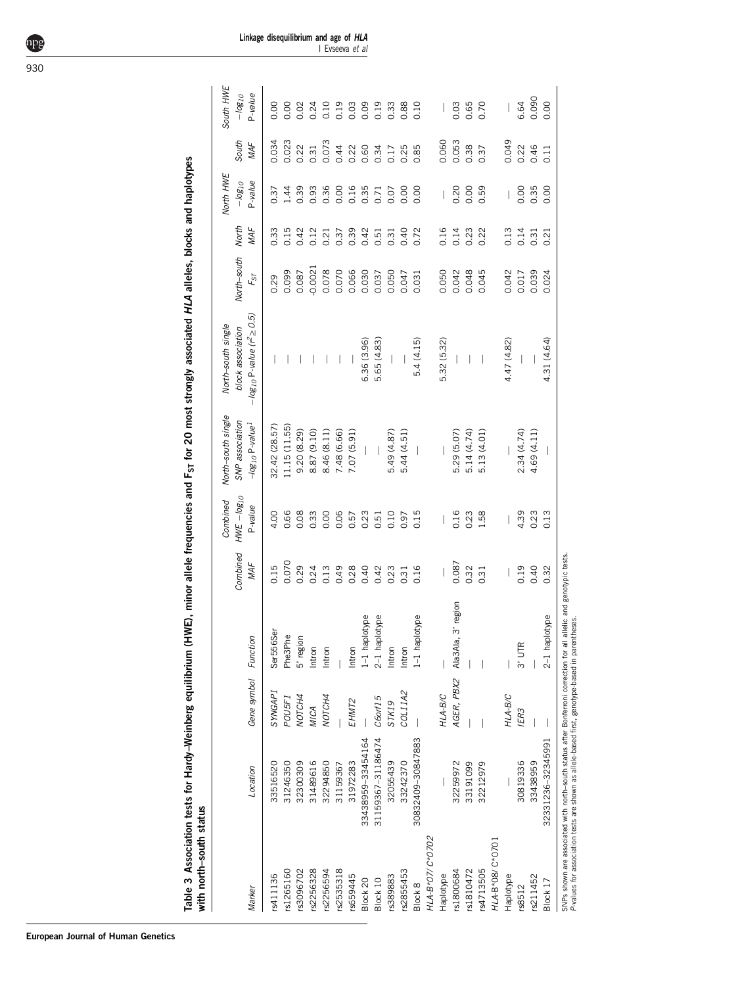<span id="page-6-0"></span>

| South HWE<br>P-value<br>$-10g_{10}$<br>0.090<br>6.64<br>0.00<br>0.00<br>0.10<br>0.19<br>0.09<br>0.19<br>0.65<br>0.70<br>0.00<br>0.24<br>0.03<br>0.33<br>0.88<br>0.10<br>0.03<br>0.02<br>0.073<br>0.049<br>0.034<br>0.023<br>0.053<br>0.060<br>South<br>MAF<br>0.22<br>0.38<br>0.44<br>0.22<br>0.60<br>0.34<br>0.85<br>0.22<br>0.46<br>0.31<br>0.17<br>0.37<br>0.11<br>North HWE<br>P-value<br>$-10g_{10}$<br>0.36<br>0.16<br>0.35<br>0.39<br>0.00<br>0.20<br>0.59<br>0.00<br>0.35<br>1.44<br>0.93<br>0.07<br>0.00<br>0.00<br>0.00<br>0.00<br>0.37<br>0.71<br>$\overline{\phantom{a}}$<br>$\overline{\phantom{a}}$<br>North<br>MAF<br>0.15<br>0.39<br>0.16<br>0.33<br>0.12<br>0.42<br>0.40<br>0.72<br>0.14<br>0.23<br>0.22<br>0.13<br>0.14<br>0.42<br>0.37<br>0.21<br>0.51<br>0.31<br>0.21<br>0.31<br>North-south<br>$-0.0021$<br>0.078<br>0.070<br>0.045<br>0.099<br>0.066<br>0.030<br>0.050<br>0.042<br>0.048<br>0.042<br>0.039<br>0.037<br>0.050<br>0.017<br>0.024<br>0.087<br>0.047<br>0.031<br>$F_{ST}$<br>0.29<br>$-log_{10}$ P-value ( $r^2 \ge 0.5$ )<br>North-south single<br>block association<br>4.47 (4.82)<br>5.65 (4.83)<br>5.4(4.15)<br>4.31 (4.64)<br>6.36 (3.96)<br>5.32 (5.32)<br>North-south single<br>SNP association<br>$-log_{10}P-value1$<br>32.42 (28.57)<br>11.15 (11.55)<br>9.20 (8.29)<br>8.87 (9.10)<br>8.46 (8.11)<br>7.48 (6.66)<br>5.14 (4.74)<br>7.07 (5.91)<br>5.49 (4.87)<br>5.44 (4.51)<br>5.29 (5.07)<br>2.34 (4.74)<br>4.69 (4.11)<br>5.13 (4.01)<br>$\overline{\phantom{a}}$<br>I<br>$HWE - log10$<br>Combined<br>P-value<br>0.66<br>0.33<br>0.06<br>0.15<br>0.16<br>4.39<br>4.00<br>0.08<br>0.00<br>0.57<br>0.23<br>0.10<br>0.23<br>1.58<br>0.23<br>0.13<br>0.97<br>0.51<br>Combined<br>0.070<br>0.087<br>MAF<br>0.15<br>0.29<br>0.28<br>0.32<br>0.24<br>0.13<br>0.49<br>0.40<br>0.42<br>0.16<br>0.19<br>0.40<br>0.32<br>0.23<br>0.31<br>0.31<br>Ala3Ala, 3' region<br>1-1 haplotype<br>2-1 haplotype<br>$1-1$ haplotype<br>$2-1$ haplotype<br>Ser556Ser<br>Phe3Phe<br>Function<br>5' region<br>$3'$ UTR<br>Intron<br>Intron<br>Intron<br>Intron<br>Intron<br>AGER, PBX2<br>Gene symbol<br>COL11A2<br>SYNGAP <sub>1</sub><br>HLA-B/C<br>HLA-B/C<br>NOTCH4<br>NOTCH4<br>C6orf15<br>POU5F1<br>EHMT <sub>2</sub><br>STK19<br>MICA<br>IER3<br>31159367-31186474<br>33438959-33454164<br>30832409-30847883<br>32331236-32345991<br>33242370<br>33438959<br>32300309<br>31489616<br>31972283<br>32055439<br>32212979<br>30819336<br>33516520<br>31246350<br>32294850<br>32259972<br>33191099<br>31159367<br>Location<br>HLA-B*07/ C*0702<br>HLA-B*08/ C*0701<br>rs4713505<br>rs2855453<br>rs1800684<br>rs1810472<br>rs1265160<br>rs2256328<br>rs2535318<br>rs3096702<br>rs2256594<br>rs411136<br>rs389883<br>rs659445<br>Haplotype<br>rs211452<br>Haplotype<br>Block 10<br>Block <sub>20</sub><br>Block 17<br>Block <sub>8</sub><br>rs8512<br>Marker | with north-south status | Table 3 Association tests for Hardy-Weinberg equilibrium (HW |  |  | E), minor allele frequencies and F <sub>ST</sub> for 20 most strongly associated HLA alleles, blocks and haplotypes |  |  |  |
|--------------------------------------------------------------------------------------------------------------------------------------------------------------------------------------------------------------------------------------------------------------------------------------------------------------------------------------------------------------------------------------------------------------------------------------------------------------------------------------------------------------------------------------------------------------------------------------------------------------------------------------------------------------------------------------------------------------------------------------------------------------------------------------------------------------------------------------------------------------------------------------------------------------------------------------------------------------------------------------------------------------------------------------------------------------------------------------------------------------------------------------------------------------------------------------------------------------------------------------------------------------------------------------------------------------------------------------------------------------------------------------------------------------------------------------------------------------------------------------------------------------------------------------------------------------------------------------------------------------------------------------------------------------------------------------------------------------------------------------------------------------------------------------------------------------------------------------------------------------------------------------------------------------------------------------------------------------------------------------------------------------------------------------------------------------------------------------------------------------------------------------------------------------------------------------------------------------------------------------------------------------------------------------------------------------------------------------------------------------------------------------------------------------------------------------------------------------------------------------------------------------------------------------------------------------------------------------------------------------------------------------------------------------------------------------------------------------------------------------------------------------------------------------------------------------------------------------------------------------------------------------|-------------------------|--------------------------------------------------------------|--|--|---------------------------------------------------------------------------------------------------------------------|--|--|--|
|                                                                                                                                                                                                                                                                                                                                                                                                                                                                                                                                                                                                                                                                                                                                                                                                                                                                                                                                                                                                                                                                                                                                                                                                                                                                                                                                                                                                                                                                                                                                                                                                                                                                                                                                                                                                                                                                                                                                                                                                                                                                                                                                                                                                                                                                                                                                                                                                                                                                                                                                                                                                                                                                                                                                                                                                                                                                                      |                         |                                                              |  |  |                                                                                                                     |  |  |  |
|                                                                                                                                                                                                                                                                                                                                                                                                                                                                                                                                                                                                                                                                                                                                                                                                                                                                                                                                                                                                                                                                                                                                                                                                                                                                                                                                                                                                                                                                                                                                                                                                                                                                                                                                                                                                                                                                                                                                                                                                                                                                                                                                                                                                                                                                                                                                                                                                                                                                                                                                                                                                                                                                                                                                                                                                                                                                                      |                         |                                                              |  |  |                                                                                                                     |  |  |  |
|                                                                                                                                                                                                                                                                                                                                                                                                                                                                                                                                                                                                                                                                                                                                                                                                                                                                                                                                                                                                                                                                                                                                                                                                                                                                                                                                                                                                                                                                                                                                                                                                                                                                                                                                                                                                                                                                                                                                                                                                                                                                                                                                                                                                                                                                                                                                                                                                                                                                                                                                                                                                                                                                                                                                                                                                                                                                                      |                         |                                                              |  |  |                                                                                                                     |  |  |  |
|                                                                                                                                                                                                                                                                                                                                                                                                                                                                                                                                                                                                                                                                                                                                                                                                                                                                                                                                                                                                                                                                                                                                                                                                                                                                                                                                                                                                                                                                                                                                                                                                                                                                                                                                                                                                                                                                                                                                                                                                                                                                                                                                                                                                                                                                                                                                                                                                                                                                                                                                                                                                                                                                                                                                                                                                                                                                                      |                         |                                                              |  |  |                                                                                                                     |  |  |  |
|                                                                                                                                                                                                                                                                                                                                                                                                                                                                                                                                                                                                                                                                                                                                                                                                                                                                                                                                                                                                                                                                                                                                                                                                                                                                                                                                                                                                                                                                                                                                                                                                                                                                                                                                                                                                                                                                                                                                                                                                                                                                                                                                                                                                                                                                                                                                                                                                                                                                                                                                                                                                                                                                                                                                                                                                                                                                                      |                         |                                                              |  |  |                                                                                                                     |  |  |  |
|                                                                                                                                                                                                                                                                                                                                                                                                                                                                                                                                                                                                                                                                                                                                                                                                                                                                                                                                                                                                                                                                                                                                                                                                                                                                                                                                                                                                                                                                                                                                                                                                                                                                                                                                                                                                                                                                                                                                                                                                                                                                                                                                                                                                                                                                                                                                                                                                                                                                                                                                                                                                                                                                                                                                                                                                                                                                                      |                         |                                                              |  |  |                                                                                                                     |  |  |  |
|                                                                                                                                                                                                                                                                                                                                                                                                                                                                                                                                                                                                                                                                                                                                                                                                                                                                                                                                                                                                                                                                                                                                                                                                                                                                                                                                                                                                                                                                                                                                                                                                                                                                                                                                                                                                                                                                                                                                                                                                                                                                                                                                                                                                                                                                                                                                                                                                                                                                                                                                                                                                                                                                                                                                                                                                                                                                                      |                         |                                                              |  |  |                                                                                                                     |  |  |  |
|                                                                                                                                                                                                                                                                                                                                                                                                                                                                                                                                                                                                                                                                                                                                                                                                                                                                                                                                                                                                                                                                                                                                                                                                                                                                                                                                                                                                                                                                                                                                                                                                                                                                                                                                                                                                                                                                                                                                                                                                                                                                                                                                                                                                                                                                                                                                                                                                                                                                                                                                                                                                                                                                                                                                                                                                                                                                                      |                         |                                                              |  |  |                                                                                                                     |  |  |  |
|                                                                                                                                                                                                                                                                                                                                                                                                                                                                                                                                                                                                                                                                                                                                                                                                                                                                                                                                                                                                                                                                                                                                                                                                                                                                                                                                                                                                                                                                                                                                                                                                                                                                                                                                                                                                                                                                                                                                                                                                                                                                                                                                                                                                                                                                                                                                                                                                                                                                                                                                                                                                                                                                                                                                                                                                                                                                                      |                         |                                                              |  |  |                                                                                                                     |  |  |  |
|                                                                                                                                                                                                                                                                                                                                                                                                                                                                                                                                                                                                                                                                                                                                                                                                                                                                                                                                                                                                                                                                                                                                                                                                                                                                                                                                                                                                                                                                                                                                                                                                                                                                                                                                                                                                                                                                                                                                                                                                                                                                                                                                                                                                                                                                                                                                                                                                                                                                                                                                                                                                                                                                                                                                                                                                                                                                                      |                         |                                                              |  |  |                                                                                                                     |  |  |  |
|                                                                                                                                                                                                                                                                                                                                                                                                                                                                                                                                                                                                                                                                                                                                                                                                                                                                                                                                                                                                                                                                                                                                                                                                                                                                                                                                                                                                                                                                                                                                                                                                                                                                                                                                                                                                                                                                                                                                                                                                                                                                                                                                                                                                                                                                                                                                                                                                                                                                                                                                                                                                                                                                                                                                                                                                                                                                                      |                         |                                                              |  |  |                                                                                                                     |  |  |  |
|                                                                                                                                                                                                                                                                                                                                                                                                                                                                                                                                                                                                                                                                                                                                                                                                                                                                                                                                                                                                                                                                                                                                                                                                                                                                                                                                                                                                                                                                                                                                                                                                                                                                                                                                                                                                                                                                                                                                                                                                                                                                                                                                                                                                                                                                                                                                                                                                                                                                                                                                                                                                                                                                                                                                                                                                                                                                                      |                         |                                                              |  |  |                                                                                                                     |  |  |  |
|                                                                                                                                                                                                                                                                                                                                                                                                                                                                                                                                                                                                                                                                                                                                                                                                                                                                                                                                                                                                                                                                                                                                                                                                                                                                                                                                                                                                                                                                                                                                                                                                                                                                                                                                                                                                                                                                                                                                                                                                                                                                                                                                                                                                                                                                                                                                                                                                                                                                                                                                                                                                                                                                                                                                                                                                                                                                                      |                         |                                                              |  |  |                                                                                                                     |  |  |  |
|                                                                                                                                                                                                                                                                                                                                                                                                                                                                                                                                                                                                                                                                                                                                                                                                                                                                                                                                                                                                                                                                                                                                                                                                                                                                                                                                                                                                                                                                                                                                                                                                                                                                                                                                                                                                                                                                                                                                                                                                                                                                                                                                                                                                                                                                                                                                                                                                                                                                                                                                                                                                                                                                                                                                                                                                                                                                                      |                         |                                                              |  |  |                                                                                                                     |  |  |  |
|                                                                                                                                                                                                                                                                                                                                                                                                                                                                                                                                                                                                                                                                                                                                                                                                                                                                                                                                                                                                                                                                                                                                                                                                                                                                                                                                                                                                                                                                                                                                                                                                                                                                                                                                                                                                                                                                                                                                                                                                                                                                                                                                                                                                                                                                                                                                                                                                                                                                                                                                                                                                                                                                                                                                                                                                                                                                                      |                         |                                                              |  |  |                                                                                                                     |  |  |  |
|                                                                                                                                                                                                                                                                                                                                                                                                                                                                                                                                                                                                                                                                                                                                                                                                                                                                                                                                                                                                                                                                                                                                                                                                                                                                                                                                                                                                                                                                                                                                                                                                                                                                                                                                                                                                                                                                                                                                                                                                                                                                                                                                                                                                                                                                                                                                                                                                                                                                                                                                                                                                                                                                                                                                                                                                                                                                                      |                         |                                                              |  |  |                                                                                                                     |  |  |  |
|                                                                                                                                                                                                                                                                                                                                                                                                                                                                                                                                                                                                                                                                                                                                                                                                                                                                                                                                                                                                                                                                                                                                                                                                                                                                                                                                                                                                                                                                                                                                                                                                                                                                                                                                                                                                                                                                                                                                                                                                                                                                                                                                                                                                                                                                                                                                                                                                                                                                                                                                                                                                                                                                                                                                                                                                                                                                                      |                         |                                                              |  |  |                                                                                                                     |  |  |  |
|                                                                                                                                                                                                                                                                                                                                                                                                                                                                                                                                                                                                                                                                                                                                                                                                                                                                                                                                                                                                                                                                                                                                                                                                                                                                                                                                                                                                                                                                                                                                                                                                                                                                                                                                                                                                                                                                                                                                                                                                                                                                                                                                                                                                                                                                                                                                                                                                                                                                                                                                                                                                                                                                                                                                                                                                                                                                                      |                         |                                                              |  |  |                                                                                                                     |  |  |  |
|                                                                                                                                                                                                                                                                                                                                                                                                                                                                                                                                                                                                                                                                                                                                                                                                                                                                                                                                                                                                                                                                                                                                                                                                                                                                                                                                                                                                                                                                                                                                                                                                                                                                                                                                                                                                                                                                                                                                                                                                                                                                                                                                                                                                                                                                                                                                                                                                                                                                                                                                                                                                                                                                                                                                                                                                                                                                                      |                         |                                                              |  |  |                                                                                                                     |  |  |  |
|                                                                                                                                                                                                                                                                                                                                                                                                                                                                                                                                                                                                                                                                                                                                                                                                                                                                                                                                                                                                                                                                                                                                                                                                                                                                                                                                                                                                                                                                                                                                                                                                                                                                                                                                                                                                                                                                                                                                                                                                                                                                                                                                                                                                                                                                                                                                                                                                                                                                                                                                                                                                                                                                                                                                                                                                                                                                                      |                         |                                                              |  |  |                                                                                                                     |  |  |  |
|                                                                                                                                                                                                                                                                                                                                                                                                                                                                                                                                                                                                                                                                                                                                                                                                                                                                                                                                                                                                                                                                                                                                                                                                                                                                                                                                                                                                                                                                                                                                                                                                                                                                                                                                                                                                                                                                                                                                                                                                                                                                                                                                                                                                                                                                                                                                                                                                                                                                                                                                                                                                                                                                                                                                                                                                                                                                                      |                         |                                                              |  |  |                                                                                                                     |  |  |  |
|                                                                                                                                                                                                                                                                                                                                                                                                                                                                                                                                                                                                                                                                                                                                                                                                                                                                                                                                                                                                                                                                                                                                                                                                                                                                                                                                                                                                                                                                                                                                                                                                                                                                                                                                                                                                                                                                                                                                                                                                                                                                                                                                                                                                                                                                                                                                                                                                                                                                                                                                                                                                                                                                                                                                                                                                                                                                                      |                         |                                                              |  |  |                                                                                                                     |  |  |  |
|                                                                                                                                                                                                                                                                                                                                                                                                                                                                                                                                                                                                                                                                                                                                                                                                                                                                                                                                                                                                                                                                                                                                                                                                                                                                                                                                                                                                                                                                                                                                                                                                                                                                                                                                                                                                                                                                                                                                                                                                                                                                                                                                                                                                                                                                                                                                                                                                                                                                                                                                                                                                                                                                                                                                                                                                                                                                                      |                         |                                                              |  |  |                                                                                                                     |  |  |  |
|                                                                                                                                                                                                                                                                                                                                                                                                                                                                                                                                                                                                                                                                                                                                                                                                                                                                                                                                                                                                                                                                                                                                                                                                                                                                                                                                                                                                                                                                                                                                                                                                                                                                                                                                                                                                                                                                                                                                                                                                                                                                                                                                                                                                                                                                                                                                                                                                                                                                                                                                                                                                                                                                                                                                                                                                                                                                                      |                         |                                                              |  |  |                                                                                                                     |  |  |  |
|                                                                                                                                                                                                                                                                                                                                                                                                                                                                                                                                                                                                                                                                                                                                                                                                                                                                                                                                                                                                                                                                                                                                                                                                                                                                                                                                                                                                                                                                                                                                                                                                                                                                                                                                                                                                                                                                                                                                                                                                                                                                                                                                                                                                                                                                                                                                                                                                                                                                                                                                                                                                                                                                                                                                                                                                                                                                                      |                         |                                                              |  |  |                                                                                                                     |  |  |  |



I Evseeva et al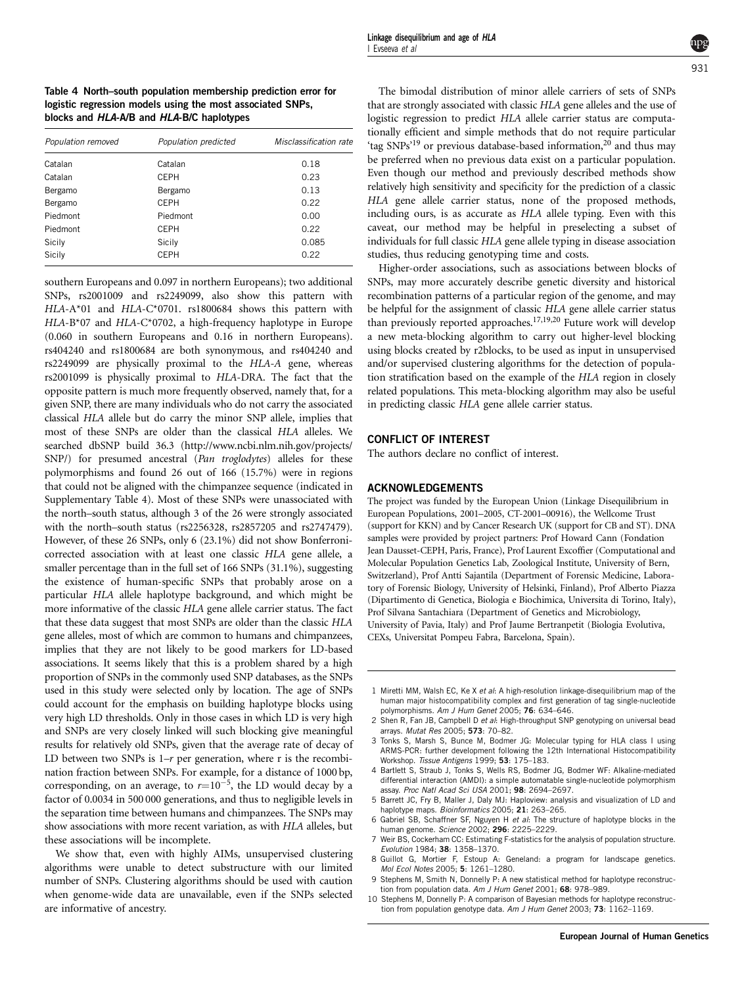<span id="page-7-0"></span>Table 4 North–south population membership prediction error for logistic regression models using the most associated SNPs, blocks and HLA-A/B and HLA-B/C haplotypes

| Population removed | Population predicted | Misclassification rate |
|--------------------|----------------------|------------------------|
| Catalan            | Catalan              | 0.18                   |
| Catalan            | <b>CEPH</b>          | 0.23                   |
| Bergamo            | Bergamo              | 0.13                   |
| Bergamo            | CEPH                 | 0.22                   |
| Piedmont           | Piedmont             | 0.00                   |
| Piedmont           | <b>CEPH</b>          | 0.22                   |
| Sicily             | Sicily               | 0.085                  |
| Sicily             | <b>CEPH</b>          | 0.22                   |

southern Europeans and 0.097 in northern Europeans); two additional SNPs, rs2001009 and rs2249099, also show this pattern with HLA-A\*01 and HLA-C\*0701. rs1800684 shows this pattern with HLA-B\*07 and HLA-C\*0702, a high-frequency haplotype in Europe (0.060 in southern Europeans and 0.16 in northern Europeans). rs404240 and rs1800684 are both synonymous, and rs404240 and rs2249099 are physically proximal to the HLA-A gene, whereas rs2001099 is physically proximal to HLA-DRA. The fact that the opposite pattern is much more frequently observed, namely that, for a given SNP, there are many individuals who do not carry the associated classical HLA allele but do carry the minor SNP allele, implies that most of these SNPs are older than the classical HLA alleles. We searched dbSNP build 36.3 ([http://www.ncbi.nlm.nih.gov/projects/](http://www.ncbi.nlm.nih.gov/projects/SNP/) [SNP/](http://www.ncbi.nlm.nih.gov/projects/SNP/)) for presumed ancestral (Pan troglodytes) alleles for these polymorphisms and found 26 out of 166 (15.7%) were in regions that could not be aligned with the chimpanzee sequence (indicated in Supplementary Table 4). Most of these SNPs were unassociated with the north–south status, although 3 of the 26 were strongly associated with the north–south status (rs2256328, rs2857205 and rs2747479). However, of these 26 SNPs, only 6 (23.1%) did not show Bonferronicorrected association with at least one classic HLA gene allele, a smaller percentage than in the full set of 166 SNPs (31.1%), suggesting the existence of human-specific SNPs that probably arose on a particular HLA allele haplotype background, and which might be more informative of the classic HLA gene allele carrier status. The fact that these data suggest that most SNPs are older than the classic HLA gene alleles, most of which are common to humans and chimpanzees, implies that they are not likely to be good markers for LD-based associations. It seems likely that this is a problem shared by a high proportion of SNPs in the commonly used SNP databases, as the SNPs used in this study were selected only by location. The age of SNPs could account for the emphasis on building haplotype blocks using very high LD thresholds. Only in those cases in which LD is very high and SNPs are very closely linked will such blocking give meaningful results for relatively old SNPs, given that the average rate of decay of LD between two SNPs is  $1-r$  per generation, where r is the recombination fraction between SNPs. For example, for a distance of 1000 bp, corresponding, on an average, to  $r=10^{-5}$ , the LD would decay by a factor of 0.0034 in 500 000 generations, and thus to negligible levels in the separation time between humans and chimpanzees. The SNPs may show associations with more recent variation, as with HLA alleles, but these associations will be incomplete.

We show that, even with highly AIMs, unsupervised clustering algorithms were unable to detect substructure with our limited number of SNPs. Clustering algorithms should be used with caution when genome-wide data are unavailable, even if the SNPs selected are informative of ancestry.

The bimodal distribution of minor allele carriers of sets of SNPs that are strongly associated with classic HLA gene alleles and the use of logistic regression to predict HLA allele carrier status are computationally efficient and simple methods that do not require particular 'tag SNPs'<sup>19</sup> or previous database-based information,<sup>[20](#page-8-0)</sup> and thus may be preferred when no previous data exist on a particular population. Even though our method and previously described methods show relatively high sensitivity and specificity for the prediction of a classic HLA gene allele carrier status, none of the proposed methods, including ours, is as accurate as HLA allele typing. Even with this caveat, our method may be helpful in preselecting a subset of individuals for full classic HLA gene allele typing in disease association studies, thus reducing genotyping time and costs.

Higher-order associations, such as associations between blocks of SNPs, may more accurately describe genetic diversity and historical recombination patterns of a particular region of the genome, and may be helpful for the assignment of classic HLA gene allele carrier status than previously reported approaches.<sup>17,19,20</sup> Future work will develop a new meta-blocking algorithm to carry out higher-level blocking using blocks created by r2blocks, to be used as input in unsupervised and/or supervised clustering algorithms for the detection of population stratification based on the example of the HLA region in closely related populations. This meta-blocking algorithm may also be useful in predicting classic HLA gene allele carrier status.

# CONFLICT OF INTEREST

The authors declare no conflict of interest.

# ACKNOWLEDGEMENTS

The project was funded by the European Union (Linkage Disequilibrium in European Populations, 2001–2005, CT-2001–00916), the Wellcome Trust (support for KKN) and by Cancer Research UK (support for CB and ST). DNA samples were provided by project partners: Prof Howard Cann (Fondation Jean Dausset-CEPH, Paris, France), Prof Laurent Excoffier (Computational and Molecular Population Genetics Lab, Zoological Institute, University of Bern, Switzerland), Prof Antti Sajantila (Department of Forensic Medicine, Laboratory of Forensic Biology, University of Helsinki, Finland), Prof Alberto Piazza (Dipartimento di Genetica, Biologia e Biochimica, Universita di Torino, Italy), Prof Silvana Santachiara (Department of Genetics and Microbiology, University of Pavia, Italy) and Prof Jaume Bertranpetit (Biologia Evolutiva, CEXs, Universitat Pompeu Fabra, Barcelona, Spain).

- 1 Miretti MM, Walsh EC, Ke X et al: A high-resolution linkage-disequilibrium map of the human major histocompatibility complex and first generation of tag single-nucleotide polymorphisms. Am J Hum Genet 2005; 76: 634–646.
- Shen R, Fan JB, Campbell D et al: High-throughput SNP genotyping on universal bead arrays. Mutat Res 2005; 573: 70–82.
- 3 Tonks S, Marsh S, Bunce M, Bodmer JG: Molecular typing for HLA class I using ARMS-PCR: further development following the 12th International Histocompatibility Workshop. Tissue Antigens 1999: 53: 175-183.
- 4 Bartlett S, Straub J, Tonks S, Wells RS, Bodmer JG, Bodmer WF: Alkaline-mediated differential interaction (AMDI): a simple automatable single-nucleotide polymorphism assay. Proc Natl Acad Sci USA 2001; 98: 2694–2697.
- 5 Barrett JC, Fry B, Maller J, Daly MJ: Haploview: analysis and visualization of LD and haplotype maps. Bioinformatics 2005; 21: 263-265.
- 6 Gabriel SB, Schaffner SF, Nguyen H et al: The structure of haplotype blocks in the human genome. Science 2002; 296: 2225–2229.
- 7 Weir BS, Cockerham CC: Estimating F-statistics for the analysis of population structure. Evolution 1984; 38: 1358–1370.
- 8 Guillot G, Mortier F, Estoup A: Geneland: a program for landscape genetics. Mol Ecol Notes 2005; 5: 1261–1280.
- 9 Stephens M, Smith N, Donnelly P: A new statistical method for haplotype reconstruction from population data. Am J Hum Genet 2001; 68: 978-989.
- 10 Stephens M, Donnelly P: A comparison of Bayesian methods for haplotype reconstruction from population genotype data. Am J Hum Genet 2003; 73: 1162-1169.